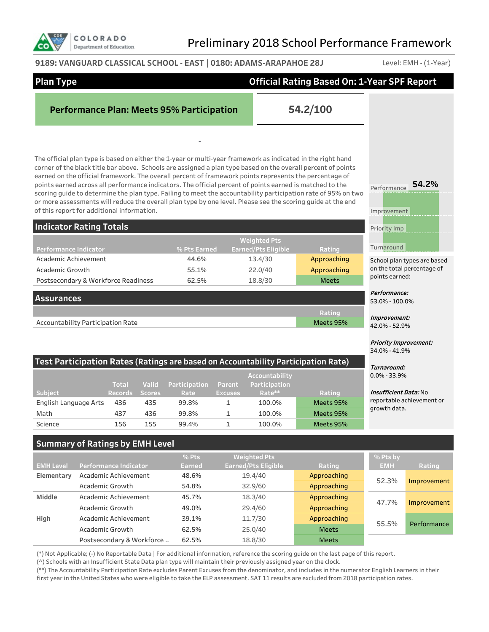

#### **9189: VANGUARD CLASSICAL SCHOOL - EAST | 0180: ADAMS-ARAPAHOE 28J** Level: EMH - (1-Year)

| <b>Plan Type</b>                                                             | <b>Official Rating Based On: 1-Year SPF Report</b> |                                |               |                                                  |                |                            |                                                                                                                                                                                                                                                                                                                                                                                                                                                                                                                                                                                                                                                                                   |                                               |                                              |  |  |
|------------------------------------------------------------------------------|----------------------------------------------------|--------------------------------|---------------|--------------------------------------------------|----------------|----------------------------|-----------------------------------------------------------------------------------------------------------------------------------------------------------------------------------------------------------------------------------------------------------------------------------------------------------------------------------------------------------------------------------------------------------------------------------------------------------------------------------------------------------------------------------------------------------------------------------------------------------------------------------------------------------------------------------|-----------------------------------------------|----------------------------------------------|--|--|
|                                                                              |                                                    |                                |               | <b>Performance Plan: Meets 95% Participation</b> |                |                            | 54.2/100                                                                                                                                                                                                                                                                                                                                                                                                                                                                                                                                                                                                                                                                          |                                               |                                              |  |  |
| of this report for additional information.<br><b>Indicator Rating Totals</b> |                                                    |                                |               |                                                  |                |                            | The official plan type is based on either the 1-year or multi-year framework as indicated in the right hand<br>corner of the black title bar above. Schools are assigned a plan type based on the overall percent of points<br>earned on the official framework. The overall percent of framework points represents the percentage of<br>points earned across all performance indicators. The official percent of points earned is matched to the<br>scoring guide to determine the plan type. Failing to meet the accountability participation rate of 95% on two<br>or more assessments will reduce the overall plan type by one level. Please see the scoring guide at the end | Performance<br>Improvement<br>Priority Imp    | 54.2%                                        |  |  |
|                                                                              |                                                    |                                |               |                                                  |                | <b>Weighted Pts</b>        |                                                                                                                                                                                                                                                                                                                                                                                                                                                                                                                                                                                                                                                                                   |                                               |                                              |  |  |
| <b>Performance Indicator</b>                                                 |                                                    |                                |               | % Pts Earned                                     |                | <b>Earned/Pts Eligible</b> | Rating                                                                                                                                                                                                                                                                                                                                                                                                                                                                                                                                                                                                                                                                            | Turnaround                                    |                                              |  |  |
| Academic Achievement                                                         |                                                    |                                |               | 44.6%                                            |                | 13.4/30                    | Approaching                                                                                                                                                                                                                                                                                                                                                                                                                                                                                                                                                                                                                                                                       |                                               | School plan types are based                  |  |  |
| <b>Academic Growth</b><br>Postsecondary & Workforce Readiness                |                                                    |                                |               | 55.1%<br>62.5%                                   |                | 22.0/40<br>18.8/30         | Approaching<br><b>Meets</b>                                                                                                                                                                                                                                                                                                                                                                                                                                                                                                                                                                                                                                                       |                                               | on the total percentage of<br>points earned: |  |  |
|                                                                              |                                                    |                                |               |                                                  |                |                            |                                                                                                                                                                                                                                                                                                                                                                                                                                                                                                                                                                                                                                                                                   | Performance:                                  |                                              |  |  |
| <b>Assurances</b>                                                            |                                                    |                                |               |                                                  |                |                            |                                                                                                                                                                                                                                                                                                                                                                                                                                                                                                                                                                                                                                                                                   | 53.0% - 100.0%                                |                                              |  |  |
| Accountability Participation Rate                                            |                                                    |                                |               |                                                  |                |                            | Rating<br>Meets 95%                                                                                                                                                                                                                                                                                                                                                                                                                                                                                                                                                                                                                                                               | Improvement:<br>42.0% - 52.9%                 |                                              |  |  |
|                                                                              |                                                    |                                |               |                                                  |                |                            |                                                                                                                                                                                                                                                                                                                                                                                                                                                                                                                                                                                                                                                                                   | <b>Priority Improvement:</b><br>34.0% - 41.9% |                                              |  |  |
|                                                                              |                                                    |                                | Valid         |                                                  | Parent         | <b>Accountability</b>      | Test Participation Rates (Ratings are based on Accountability Participation Rate)                                                                                                                                                                                                                                                                                                                                                                                                                                                                                                                                                                                                 | Turnaround:<br>$0.0\% - 33.9\%$               |                                              |  |  |
| <b>Subject</b>                                                               |                                                    | <b>Total</b><br><b>Records</b> | <b>Scores</b> | Participation<br>Rate                            | <b>Excuses</b> | Participation<br>Rate**    | Rating                                                                                                                                                                                                                                                                                                                                                                                                                                                                                                                                                                                                                                                                            | <i><b>Insufficient Data: No</b></i>           |                                              |  |  |
| English Language Arts                                                        |                                                    | 436                            | 435           | 99.8%                                            | $\mathbf{1}$   | 100.0%                     | Meets 95%                                                                                                                                                                                                                                                                                                                                                                                                                                                                                                                                                                                                                                                                         |                                               | reportable achievement or                    |  |  |
| Math                                                                         |                                                    | 437                            | 436           | 99.8%                                            | 1              | 100.0%                     | Meets 95%                                                                                                                                                                                                                                                                                                                                                                                                                                                                                                                                                                                                                                                                         | growth data.                                  |                                              |  |  |
| Science                                                                      |                                                    | 156                            | 155           | 99.4%                                            | $\mathbf{1}$   | 100.0%                     | Meets 95%                                                                                                                                                                                                                                                                                                                                                                                                                                                                                                                                                                                                                                                                         |                                               |                                              |  |  |
| <b>Summary of Ratings by EMH Level</b>                                       |                                                    |                                |               |                                                  |                |                            |                                                                                                                                                                                                                                                                                                                                                                                                                                                                                                                                                                                                                                                                                   |                                               |                                              |  |  |
|                                                                              |                                                    |                                |               | % Pts                                            |                | <b>Weighted Pts</b>        |                                                                                                                                                                                                                                                                                                                                                                                                                                                                                                                                                                                                                                                                                   | % Pts by                                      |                                              |  |  |
| <b>EMH Level</b>                                                             | <b>Performance Indicator</b>                       |                                |               | <b>Earned</b>                                    |                | <b>Earned/Pts Eligible</b> | Rating                                                                                                                                                                                                                                                                                                                                                                                                                                                                                                                                                                                                                                                                            | EMH                                           | Rating                                       |  |  |
| Elementary                                                                   | Academic Achievement                               |                                |               | 48.6%                                            |                | 19.4/40                    | Approaching                                                                                                                                                                                                                                                                                                                                                                                                                                                                                                                                                                                                                                                                       | 52.3%                                         | Improvement                                  |  |  |
|                                                                              | Academic Growth                                    |                                |               | 54.8%                                            |                | 32.9/60                    | Approaching                                                                                                                                                                                                                                                                                                                                                                                                                                                                                                                                                                                                                                                                       |                                               |                                              |  |  |
| Middle                                                                       | Academic Achievement                               |                                |               | 45.7%                                            |                | 18.3/40                    | Approaching                                                                                                                                                                                                                                                                                                                                                                                                                                                                                                                                                                                                                                                                       | 47.7%                                         | Improvement                                  |  |  |
|                                                                              | <b>Academic Growth</b>                             |                                |               | 49.0%                                            |                | 29.4/60                    | Approaching                                                                                                                                                                                                                                                                                                                                                                                                                                                                                                                                                                                                                                                                       |                                               |                                              |  |  |
| High                                                                         | Academic Achievement                               |                                |               | 39.1%                                            |                | 11.7/30                    | Approaching                                                                                                                                                                                                                                                                                                                                                                                                                                                                                                                                                                                                                                                                       | 55.5%                                         | Performance                                  |  |  |
|                                                                              | Academic Growth                                    |                                |               | 62.5%                                            |                | 25.0/40                    | <b>Meets</b>                                                                                                                                                                                                                                                                                                                                                                                                                                                                                                                                                                                                                                                                      |                                               |                                              |  |  |
|                                                                              | Postsecondary & Workforce                          |                                |               | 62.5%                                            |                | 18.8/30                    | <b>Meets</b>                                                                                                                                                                                                                                                                                                                                                                                                                                                                                                                                                                                                                                                                      |                                               |                                              |  |  |

(\*) Not Applicable; (-) No Reportable Data | For additional information, reference the scoring guide on the last page of this report.

(^) Schools with an Insufficient State Data plan type will maintain their previously assigned year on the clock.

(\*\*) The Accountability Participation Rate excludes Parent Excuses from the denominator, and includes in the numerator English Learners in their first year in the United States who were eligible to take the ELP assessment. SAT 11 results are excluded from 2018 participation rates.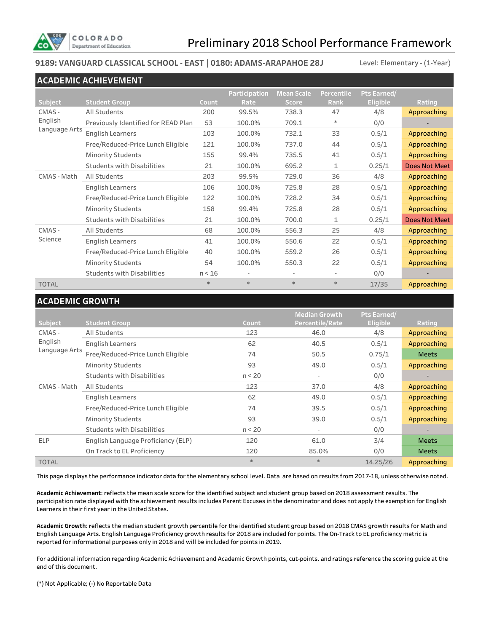

### **9189: VANGUARD CLASSICAL SCHOOL - EAST | 0180: ADAMS-ARAPAHOE 28J**

Level: Elementary - (1-Year)

|               | <b>ACADEMIC ACHIEVEMENT</b>         |        |                      |                          |                   |                 |                      |
|---------------|-------------------------------------|--------|----------------------|--------------------------|-------------------|-----------------|----------------------|
|               |                                     |        | <b>Participation</b> | <b>Mean Scale</b>        | <b>Percentile</b> | Pts Earned/     |                      |
| Subject       | <b>Student Group</b>                | Count  | Rate                 | <b>Score</b>             | Rank              | <b>Eligible</b> | Rating               |
| CMAS -        | <b>All Students</b>                 | 200    | 99.5%                | 738.3                    | 47                | 4/8             | Approaching          |
| English       | Previously Identified for READ Plan | 53     | 100.0%               | 709.1                    | $\ast$            | 0/0             |                      |
| Language Arts | <b>English Learners</b>             | 103    | 100.0%               | 732.1                    | 33                | 0.5/1           | Approaching          |
|               | Free/Reduced-Price Lunch Eligible   | 121    | 100.0%               | 737.0                    | 44                | 0.5/1           | Approaching          |
|               | <b>Minority Students</b>            | 155    | 99.4%                | 735.5                    | 41                | 0.5/1           | Approaching          |
|               | <b>Students with Disabilities</b>   | 21     | 100.0%               | 695.2                    | 1                 | 0.25/1          | <b>Does Not Meet</b> |
| CMAS - Math   | All Students                        | 203    | 99.5%                | 729.0                    | 36                | 4/8             | Approaching          |
|               | <b>English Learners</b>             | 106    | 100.0%               | 725.8                    | 28                | 0.5/1           | Approaching          |
|               | Free/Reduced-Price Lunch Eligible   | 122    | 100.0%               | 728.2                    | 34                | 0.5/1           | Approaching          |
|               | <b>Minority Students</b>            | 158    | 99.4%                | 725.8                    | 28                | 0.5/1           | Approaching          |
|               | <b>Students with Disabilities</b>   | 21     | 100.0%               | 700.0                    | 1                 | 0.25/1          | <b>Does Not Meet</b> |
| CMAS-         | All Students                        | 68     | 100.0%               | 556.3                    | 25                | 4/8             | Approaching          |
| Science       | <b>English Learners</b>             | 41     | 100.0%               | 550.6                    | 22                | 0.5/1           | Approaching          |
|               | Free/Reduced-Price Lunch Eligible   | 40     | 100.0%               | 559.2                    | 26                | 0.5/1           | Approaching          |
|               | <b>Minority Students</b>            | 54     | 100.0%               | 550.3                    | 22                | 0.5/1           | Approaching          |
|               | <b>Students with Disabilities</b>   | n < 16 |                      | $\overline{\phantom{a}}$ |                   | 0/0             |                      |
| <b>TOTAL</b>  |                                     | $*$    | $*$                  | $\ast$                   | $\ast$            | 17/35           | Approaching          |

### **ACADEMIC GROWTH**

|                |                                    |        | <b>Median Growth</b> | Pts Earned/     |                          |
|----------------|------------------------------------|--------|----------------------|-----------------|--------------------------|
| <b>Subject</b> |                                    |        |                      |                 |                          |
|                | <b>Student Group</b>               | Count  | Percentile/Rate      | <b>Eligible</b> | Rating                   |
| CMAS -         | All Students                       | 123    | 46.0                 | 4/8             | Approaching              |
| English        | English Learners                   | 62     | 40.5                 | 0.5/1           | Approaching              |
| Language Arts  | Free/Reduced-Price Lunch Eligible  | 74     | 50.5                 | 0.75/1          | <b>Meets</b>             |
|                | <b>Minority Students</b>           | 93     | 49.0                 | 0.5/1           | Approaching              |
|                | <b>Students with Disabilities</b>  | n < 20 | ٠                    | 0/0             | $\overline{\phantom{a}}$ |
| CMAS - Math    | All Students                       | 123    | 37.0                 | 4/8             | Approaching              |
|                | English Learners                   | 62     | 49.0                 | 0.5/1           | Approaching              |
|                | Free/Reduced-Price Lunch Eligible  | 74     | 39.5                 | 0.5/1           | Approaching              |
|                | <b>Minority Students</b>           | 93     | 39.0                 | 0.5/1           | Approaching              |
|                | <b>Students with Disabilities</b>  | n < 20 | $\sim$               | 0/0             |                          |
| <b>ELP</b>     | English Language Proficiency (ELP) | 120    | 61.0                 | 3/4             | <b>Meets</b>             |
|                | On Track to EL Proficiency         | 120    | 85.0%                | 0/0             | <b>Meets</b>             |
| <b>TOTAL</b>   |                                    | $*$    | $*$                  | 14.25/26        | Approaching              |

This page displays the performance indicator data for the elementary school level. Data are based on results from 2017-18, unless otherwise noted.

**Academic Achievement**: reflects the mean scale score for the identified subject and student group based on 2018 assessment results. The participation rate displayed with the achievement results includes Parent Excuses in the denominator and does not apply the exemption for English Learners in their first year in the United States.

**Academic Growth**: reflects the median student growth percentile for the identified student group based on 2018 CMAS growth results for Math and English Language Arts. English Language Proficiency growth results for 2018 are included for points. The On-Track to EL proficiency metric is reported for informational purposes only in 2018 and will be included for points in 2019.

For additional information regarding Academic Achievement and Academic Growth points, cut-points, and ratings reference the scoring guide at the end of this document.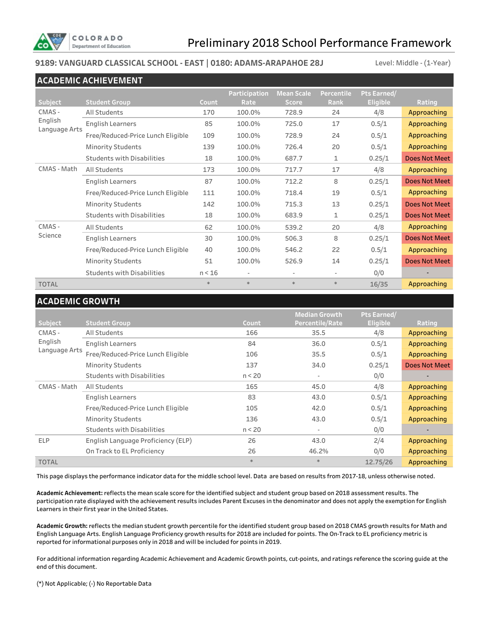

### **9189: VANGUARD CLASSICAL SCHOOL - EAST | 0180: ADAMS-ARAPAHOE 28J** Level: Middle - (1-Year)

|                                    | <b>ACADEMIC ACHIEVEMENT</b>       |        |                      |                          |            |                 |                      |
|------------------------------------|-----------------------------------|--------|----------------------|--------------------------|------------|-----------------|----------------------|
|                                    |                                   |        | <b>Participation</b> | <b>Mean Scale</b>        | Percentile | Pts Earned/     |                      |
| Subject                            | <b>Student Group</b>              | Count  | Rate                 | <b>Score</b>             | Rank       | <b>Eligible</b> | Rating               |
| CMAS -<br>English<br>Language Arts | All Students                      | 170    | 100.0%               | 728.9                    | 24         | 4/8             | Approaching          |
|                                    | <b>English Learners</b>           | 85     | 100.0%               | 725.0                    | 17         | 0.5/1           | Approaching          |
|                                    | Free/Reduced-Price Lunch Eligible | 109    | 100.0%               | 728.9                    | 24         | 0.5/1           | Approaching          |
|                                    | <b>Minority Students</b>          | 139    | 100.0%               | 726.4                    | 20         | 0.5/1           | Approaching          |
|                                    | <b>Students with Disabilities</b> | 18     | 100.0%               | 687.7                    | 1          | 0.25/1          | <b>Does Not Meet</b> |
| CMAS - Math                        | All Students                      | 173    | 100.0%               | 717.7                    | 17         | 4/8             | Approaching          |
|                                    | <b>English Learners</b>           | 87     | 100.0%               | 712.2                    | 8          | 0.25/1          | <b>Does Not Meet</b> |
|                                    | Free/Reduced-Price Lunch Eligible | 111    | 100.0%               | 718.4                    | 19         | 0.5/1           | Approaching          |
|                                    | <b>Minority Students</b>          | 142    | 100.0%               | 715.3                    | 13         | 0.25/1          | Does Not Meet        |
|                                    | <b>Students with Disabilities</b> | 18     | 100.0%               | 683.9                    | 1          | 0.25/1          | <b>Does Not Meet</b> |
| CMAS -                             | All Students                      | 62     | 100.0%               | 539.2                    | 20         | 4/8             | Approaching          |
| Science                            | <b>English Learners</b>           | 30     | 100.0%               | 506.3                    | 8          | 0.25/1          | <b>Does Not Meet</b> |
|                                    | Free/Reduced-Price Lunch Eligible | 40     | 100.0%               | 546.2                    | 22         | 0.5/1           | Approaching          |
|                                    | <b>Minority Students</b>          | 51     | 100.0%               | 526.9                    | 14         | 0.25/1          | <b>Does Not Meet</b> |
|                                    | <b>Students with Disabilities</b> | n < 16 | ٠                    | $\overline{\phantom{a}}$ | ٠          | 0/0             | $\blacksquare$       |
| <b>TOTAL</b>                       |                                   | $\ast$ | $*$                  | $\ast$                   | $\ast$     | 16/35           | Approaching          |

### **ACADEMIC GROWTH**

|                   |                                      |              | <b>Median Growth</b>     | Pts Earned/            |                       |
|-------------------|--------------------------------------|--------------|--------------------------|------------------------|-----------------------|
| Subject<br>CMAS - | <b>Student Group</b><br>All Students | Count<br>166 | Percentile/Rate<br>35.5  | <b>Eligible</b><br>4/8 | Rating<br>Approaching |
| English           | <b>English Learners</b>              | 84           | 36.0                     | 0.5/1                  | Approaching           |
| Language Arts     | Free/Reduced-Price Lunch Eligible    | 106          | 35.5                     | 0.5/1                  | Approaching           |
|                   |                                      |              |                          |                        |                       |
|                   | <b>Minority Students</b>             | 137          | 34.0                     | 0.25/1                 | Does Not Meet         |
|                   | <b>Students with Disabilities</b>    | n < 20       | $\overline{\phantom{a}}$ | 0/0                    |                       |
| CMAS - Math       | All Students                         | 165          | 45.0                     | 4/8                    | Approaching           |
|                   | English Learners                     | 83           | 43.0                     | 0.5/1                  | Approaching           |
|                   | Free/Reduced-Price Lunch Eligible    | 105          | 42.0                     | 0.5/1                  | Approaching           |
|                   | <b>Minority Students</b>             | 136          | 43.0                     | 0.5/1                  | Approaching           |
|                   | <b>Students with Disabilities</b>    | n < 20       | $\overline{\phantom{a}}$ | 0/0                    | -                     |
| <b>ELP</b>        | English Language Proficiency (ELP)   | 26           | 43.0                     | 2/4                    | Approaching           |
|                   | On Track to EL Proficiency           | 26           | 46.2%                    | 0/0                    | Approaching           |
| <b>TOTAL</b>      |                                      | $*$          | $*$                      | 12.75/26               | Approaching           |

This page displays the performance indicator data for the middle school level. Data are based on results from 2017-18, unless otherwise noted.

**Academic Achievement:** reflects the mean scale score for the identified subject and student group based on 2018 assessment results. The participation rate displayed with the achievement results includes Parent Excuses in the denominator and does not apply the exemption for English Learners in their first year in the United States.

**Academic Growth:** reflects the median student growth percentile for the identified student group based on 2018 CMAS growth results for Math and English Language Arts. English Language Proficiency growth results for 2018 are included for points. The On-Track to EL proficiency metric is reported for informational purposes only in 2018 and will be included for points in 2019.

For additional information regarding Academic Achievement and Academic Growth points, cut-points, and ratings reference the scoring guide at the end of this document.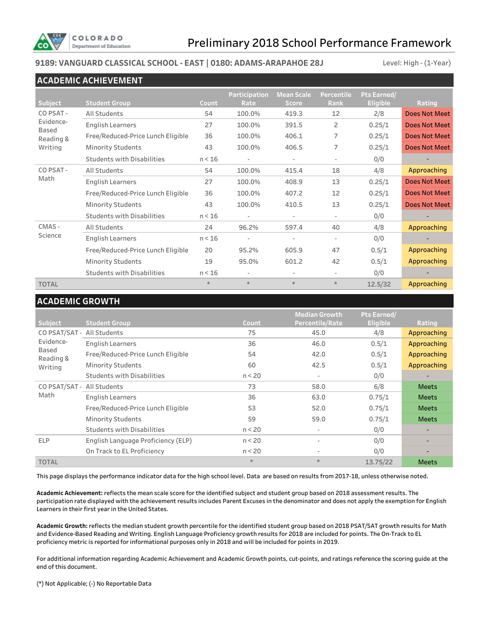

### **9189: VANGUARD CLASSICAL SCHOOL - EAST | 0180: ADAMS-ARAPAHOE 28J** Level: High - (1-Year)

|                      | <b>ACADEMIC ACHIEVEMENT</b>       |        |                          |                          |                          |                 |                      |
|----------------------|-----------------------------------|--------|--------------------------|--------------------------|--------------------------|-----------------|----------------------|
|                      |                                   |        | Participation            | <b>Mean Scale</b>        | <b>Percentile</b>        | Pts Earned/     |                      |
| <b>Subject</b>       | <b>Student Group</b>              | Count  | Rate                     | <b>Score</b>             | <b>Rank</b>              | <b>Eligible</b> | Rating               |
| CO PSAT -            | All Students                      | 54     | 100.0%                   | 419.3                    | 12                       | 2/8             | <b>Does Not Meet</b> |
| Evidence-<br>Based   | <b>English Learners</b>           | 27     | 100.0%                   | 391.5                    | 2                        | 0.25/1          | <b>Does Not Meet</b> |
| Reading &<br>Writing | Free/Reduced-Price Lunch Eligible | 36     | 100.0%                   | 406.1                    | 7                        | 0.25/1          | <b>Does Not Meet</b> |
|                      | <b>Minority Students</b>          | 43     | 100.0%                   | 406.5                    | 7                        | 0.25/1          | <b>Does Not Meet</b> |
|                      | <b>Students with Disabilities</b> | n < 16 | $\overline{\phantom{a}}$ | $\overline{\phantom{a}}$ | ٠                        | 0/0             |                      |
| CO PSAT -            | All Students                      | 54     | 100.0%                   | 415.4                    | 18                       | 4/8             | Approaching          |
| Math                 | <b>English Learners</b>           | 27     | 100.0%                   | 408.9                    | 13                       | 0.25/1          | <b>Does Not Meet</b> |
|                      | Free/Reduced-Price Lunch Eligible | 36     | 100.0%                   | 407.2                    | 12                       | 0.25/1          | <b>Does Not Meet</b> |
|                      | <b>Minority Students</b>          | 43     | 100.0%                   | 410.5                    | 13                       | 0.25/1          | <b>Does Not Meet</b> |
|                      | <b>Students with Disabilities</b> | n < 16 | $\overline{\phantom{a}}$ | $\overline{\phantom{a}}$ | $\overline{\phantom{a}}$ | 0/0             |                      |
| CMAS -               | All Students                      | 24     | 96.2%                    | 597.4                    | 40                       | 4/8             | Approaching          |
| Science              | <b>English Learners</b>           | n < 16 | ÷                        | $\overline{\phantom{a}}$ | $\overline{\phantom{0}}$ | 0/0             |                      |
|                      | Free/Reduced-Price Lunch Eligible | 20     | 95.2%                    | 605.9                    | 47                       | 0.5/1           | Approaching          |
|                      | <b>Minority Students</b>          | 19     | 95.0%                    | 601.2                    | 42                       | 0.5/1           | Approaching          |
|                      | <b>Students with Disabilities</b> | n < 16 | $\overline{\phantom{m}}$ |                          | $\overline{\phantom{0}}$ | 0/0             |                      |
| <b>TOTAL</b>         |                                   | $\ast$ | $\ast$                   | $\ast$                   | $\ast$                   | 12.5/32         | Approaching          |

### **ACADEMIC GROWTH**

| Subject                    | <b>Student Group</b>               | Count  | <b>Median Growth</b><br>Percentile/Rate | Pts Earned/<br><b>Eligible</b> | Rating                   |
|----------------------------|------------------------------------|--------|-----------------------------------------|--------------------------------|--------------------------|
| CO PSAT/SAT - All Students |                                    | 75     | 45.0                                    | 4/8                            | Approaching              |
| Evidence-                  | <b>English Learners</b>            | 36     | 46.0                                    | 0.5/1                          | Approaching              |
| Based<br>Reading &         | Free/Reduced-Price Lunch Eligible  | 54     | 42.0                                    | 0.5/1                          | Approaching              |
| Writing                    | <b>Minority Students</b>           | 60     | 42.5                                    | 0.5/1                          | Approaching              |
|                            | <b>Students with Disabilities</b>  | n < 20 | $\overline{\phantom{a}}$                | 0/0                            |                          |
| CO PSAT/SAT - All Students |                                    | 73     | 58.0                                    | 6/8                            | <b>Meets</b>             |
| Math                       | <b>English Learners</b>            | 36     | 63.0                                    | 0.75/1                         | <b>Meets</b>             |
|                            | Free/Reduced-Price Lunch Eligible  | 53     | 52.0                                    | 0.75/1                         | <b>Meets</b>             |
|                            | <b>Minority Students</b>           | 59     | 59.0                                    | 0.75/1                         | <b>Meets</b>             |
|                            | <b>Students with Disabilities</b>  | n < 20 | $\overline{\phantom{a}}$                | 0/0                            | $\blacksquare$           |
| <b>ELP</b>                 | English Language Proficiency (ELP) | n < 20 |                                         | 0/0                            | $\overline{\phantom{a}}$ |
|                            | On Track to EL Proficiency         | n < 20 |                                         | 0/0                            |                          |
| <b>TOTAL</b>               |                                    | $*$    | $*$                                     | 13.75/22                       | <b>Meets</b>             |

This page displays the performance indicator data for the high school level. Data are based on results from 2017-18, unless otherwise noted.

**Academic Achievement:** reflects the mean scale score for the identified subject and student group based on 2018 assessment results. The participation rate displayed with the achievement results includes Parent Excuses in the denominator and does not apply the exemption for English Learners in their first year in the United States.

**Academic Growth:** reflects the median student growth percentile for the identified student group based on 2018 PSAT/SAT growth results for Math and Evidence-Based Reading and Writing. English Language Proficiency growth results for 2018 are included for points. The On-Track to EL proficiency metric is reported for informational purposes only in 2018 and will be included for points in 2019.

For additional information regarding Academic Achievement and Academic Growth points, cut-points, and ratings reference the scoring guide at the end of this document.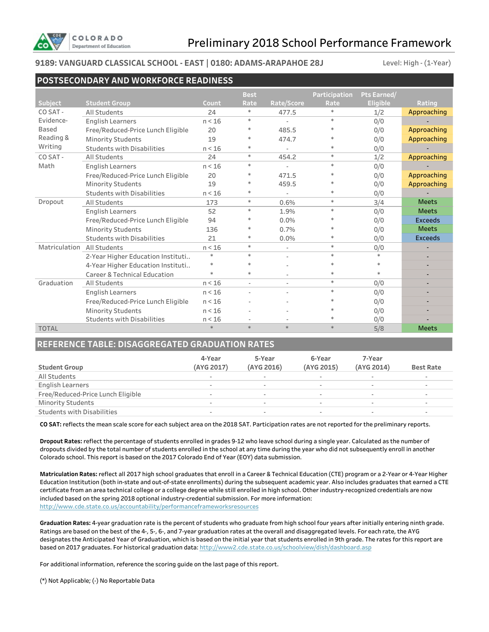

#### **9189: VANGUARD CLASSICAL SCHOOL - EAST | 0180: ADAMS-ARAPAHOE 28J**

Level: High - (1-Year)

|                | <b>POSTSECONDARY AND WORKFORCE READINESS</b> |        |             |            |                      |                 |                |  |  |  |
|----------------|----------------------------------------------|--------|-------------|------------|----------------------|-----------------|----------------|--|--|--|
|                |                                              |        | <b>Best</b> |            | <b>Participation</b> | Pts Earned/     |                |  |  |  |
| <b>Subject</b> | <b>Student Group</b>                         | Count  | Rate        | Rate/Score | Rate                 | <b>Eligible</b> | Rating         |  |  |  |
| CO SAT-        | All Students                                 | 24     | $\ast$      | 477.5      | $\ast$               | 1/2             | Approaching    |  |  |  |
| Evidence-      | <b>English Learners</b>                      | n < 16 | $\ast$      |            | $\ast$               | 0/0             |                |  |  |  |
| Based          | Free/Reduced-Price Lunch Eligible            | 20     | ∗           | 485.5      | $\ast$               | 0/0             | Approaching    |  |  |  |
| Reading &      | <b>Minority Students</b>                     | 19     | $\ast$      | 474.7      | $\ast$               | 0/0             | Approaching    |  |  |  |
| Writing        | <b>Students with Disabilities</b>            | n < 16 | $\ast$      |            | $\ast$               | 0/0             |                |  |  |  |
| CO SAT-        | All Students                                 | 24     | $\ast$      | 454.2      | $\ast$               | 1/2             | Approaching    |  |  |  |
| Math           | <b>English Learners</b>                      | n < 16 | $\ast$      |            | $\ast$               | 0/0             |                |  |  |  |
|                | Free/Reduced-Price Lunch Eligible            | 20     | $\ast$      | 471.5      | $\ast$               | 0/0             | Approaching    |  |  |  |
|                | <b>Minority Students</b>                     | 19     | $\ast$      | 459.5      | $\ast$               | 0/0             | Approaching    |  |  |  |
|                | <b>Students with Disabilities</b>            | n < 16 | $\ast$      |            | $\ast$               | 0/0             |                |  |  |  |
| Dropout        | All Students                                 | 173    | $\ast$      | 0.6%       | $\ast$               | 3/4             | <b>Meets</b>   |  |  |  |
|                | <b>English Learners</b>                      | 52     | $\ast$      | 1.9%       | $\ast$               | 0/0             | <b>Meets</b>   |  |  |  |
|                | Free/Reduced-Price Lunch Eligible            | 94     | ∗           | 0.0%       | $\ast$               | 0/0             | <b>Exceeds</b> |  |  |  |
|                | <b>Minority Students</b>                     | 136    | $\ast$      | 0.7%       | $\ast$               | 0/0             | <b>Meets</b>   |  |  |  |
|                | <b>Students with Disabilities</b>            | 21     | $\ast$      | 0.0%       | $\ast$               | 0/0             | <b>Exceeds</b> |  |  |  |
| Matriculation  | All Students                                 | n < 16 | $\ast$      |            | $\ast$               | 0/0             |                |  |  |  |
|                | 2-Year Higher Education Instituti            | $\ast$ | $\ast$      | ÷,         | $\ast$               | $\ast$          | ۰              |  |  |  |
|                | 4-Year Higher Education Instituti            | $\ast$ | $\ast$      |            | $\ast$               | $\ast$          |                |  |  |  |
|                | <b>Career &amp; Technical Education</b>      | $\ast$ | $\ast$      |            | $\ast$               | $\ast$          |                |  |  |  |
| Graduation     | All Students                                 | n < 16 | $\sim$      | $\sim$     | $*$                  | 0/0             | ٠              |  |  |  |
|                | English Learners                             | n < 16 |             |            | $\ast$               | 0/0             |                |  |  |  |
|                | Free/Reduced-Price Lunch Eligible            | n < 16 |             |            | $\ast$               | 0/0             |                |  |  |  |
|                | <b>Minority Students</b>                     | n < 16 |             |            |                      | 0/0             |                |  |  |  |
|                | <b>Students with Disabilities</b>            | n < 16 |             |            | $\ast$               | 0/0             |                |  |  |  |
| <b>TOTAL</b>   |                                              | $*$    | $*$         | $\ast$     | $*$                  | 5/8             | <b>Meets</b>   |  |  |  |

### **REFERENCE TABLE: DISAGGREGATED GRADUATION RATES**

| <b>Student Group</b>              | 4-Year<br>(AYG 2017) | 5-Year<br>(AYG 2016) | 6-Year<br>(AYG 2015)     | 7-Year<br>(AYG 2014)     | <b>Best Rate</b> |
|-----------------------------------|----------------------|----------------------|--------------------------|--------------------------|------------------|
| All Students                      | ۰                    |                      |                          | $\overline{\phantom{a}}$ |                  |
| English Learners                  |                      |                      |                          |                          |                  |
| Free/Reduced-Price Lunch Eligible |                      |                      |                          | $\sim$                   |                  |
| <b>Minority Students</b>          |                      |                      | $\overline{\phantom{a}}$ | $\sim$                   |                  |
| <b>Students with Disabilities</b> |                      |                      |                          | $\sim$                   |                  |

**CO SAT:** reflects the mean scale score for each subject area on the 2018 SAT. Participation rates are not reported for the preliminary reports.

**Dropout Rates:** reflect the percentage of students enrolled in grades 9-12 who leave school during a single year. Calculated as the number of dropouts divided by the total number of students enrolled in the school at any time during the year who did not subsequently enroll in another Colorado school. This report is based on the 2017 Colorado End of Year (EOY) data submission.

**Matriculation Rates:** reflect all 2017 high school graduates that enroll in a Career & Technical Education (CTE) program or a 2-Year or 4-Year Higher Education Institution (both in-state and out-of-state enrollments) during the subsequent academic year. Also includes graduates that earned a CTE certificate from an area technical college or a college degree while still enrolled in high school. Other industry-recognized credentials are now included based on the spring 2018 optional industry-credential submission. For more information: http://www.cde.state.co.us/accountability/performanceframeworksresources

**Graduation Rates:** 4-year graduation rate is the percent of students who graduate from high school four years after initially entering ninth grade. Ratings are based on the best of the 4-, 5-, 6-, and 7-year graduation rates at the overall and disaggregated levels. For each rate, the AYG designates the Anticipated Year of Graduation, which is based on the initial year that students enrolled in 9th grade. The rates for this report are based on 2017 graduates. For historical graduation data: http://www2.cde.state.co.us/schoolview/dish/dashboard.asp

For additional information, reference the scoring guide on the last page of this report.